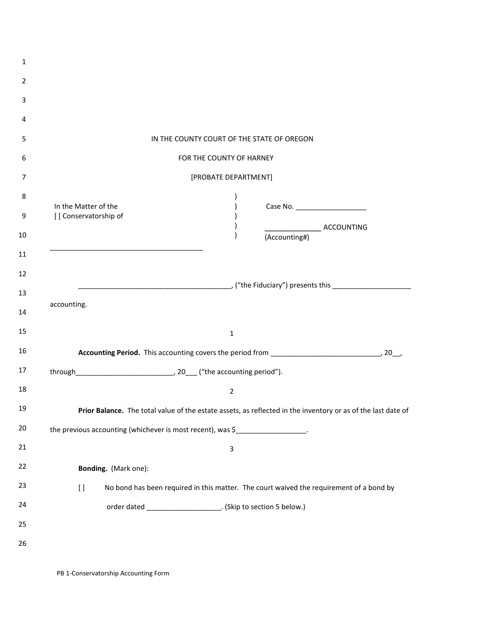| 1              |                                                                                |                                                                 |                                                                                                              |  |  |  |
|----------------|--------------------------------------------------------------------------------|-----------------------------------------------------------------|--------------------------------------------------------------------------------------------------------------|--|--|--|
| 2              |                                                                                |                                                                 |                                                                                                              |  |  |  |
| 3              |                                                                                |                                                                 |                                                                                                              |  |  |  |
| 4              |                                                                                |                                                                 |                                                                                                              |  |  |  |
| 5              |                                                                                | IN THE COUNTY COURT OF THE STATE OF OREGON                      |                                                                                                              |  |  |  |
| 6              | FOR THE COUNTY OF HARNEY                                                       |                                                                 |                                                                                                              |  |  |  |
| 7              | [PROBATE DEPARTMENT]                                                           |                                                                 |                                                                                                              |  |  |  |
| 8<br>9         | In the Matter of the<br>[] Conservatorship of                                  |                                                                 | Case No. ________________________                                                                            |  |  |  |
| 10             |                                                                                |                                                                 | ACCOUNTING<br>(Accounting#)                                                                                  |  |  |  |
| 11             |                                                                                |                                                                 |                                                                                                              |  |  |  |
| 12             |                                                                                |                                                                 |                                                                                                              |  |  |  |
| 13<br>14<br>15 | accounting.                                                                    | $\mathbf 1$                                                     |                                                                                                              |  |  |  |
| 16             |                                                                                |                                                                 |                                                                                                              |  |  |  |
| 17             |                                                                                |                                                                 |                                                                                                              |  |  |  |
| 18             |                                                                                | $\overline{2}$                                                  |                                                                                                              |  |  |  |
| 19             |                                                                                |                                                                 | Prior Balance. The total value of the estate assets, as reflected in the inventory or as of the last date of |  |  |  |
| 20             | the previous accounting (whichever is most recent), was \$___________________. |                                                                 |                                                                                                              |  |  |  |
| 21             |                                                                                | 3                                                               |                                                                                                              |  |  |  |
| 22             | Bonding. (Mark one):                                                           |                                                                 |                                                                                                              |  |  |  |
| 23             | $\left[ \ \right]$                                                             |                                                                 | No bond has been required in this matter. The court waived the requirement of a bond by                      |  |  |  |
| 24             |                                                                                | order dated _______________________. (Skip to section 5 below.) |                                                                                                              |  |  |  |
| 25             |                                                                                |                                                                 |                                                                                                              |  |  |  |
| 26             |                                                                                |                                                                 |                                                                                                              |  |  |  |
|                |                                                                                |                                                                 |                                                                                                              |  |  |  |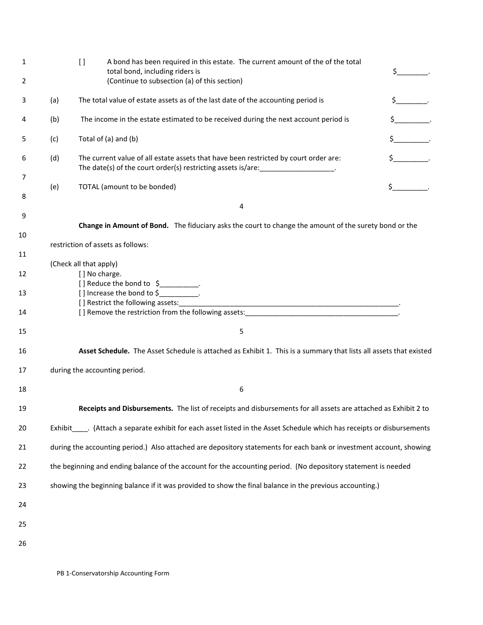| 1      |     | $\left[\right]$                                                                                                     | A bond has been required in this estate. The current amount of the of the total<br>total bond, including riders is                                                        |                             |  |
|--------|-----|---------------------------------------------------------------------------------------------------------------------|---------------------------------------------------------------------------------------------------------------------------------------------------------------------------|-----------------------------|--|
| 2      |     |                                                                                                                     | (Continue to subsection (a) of this section)                                                                                                                              |                             |  |
| 3      | (a) |                                                                                                                     | The total value of estate assets as of the last date of the accounting period is                                                                                          |                             |  |
| 4      | (b) |                                                                                                                     | The income in the estate estimated to be received during the next account period is                                                                                       | $\frac{1}{2}$               |  |
| 5      | (c) |                                                                                                                     | Total of (a) and (b)                                                                                                                                                      | $\frac{1}{2}$               |  |
| 6      | (d) |                                                                                                                     | The current value of all estate assets that have been restricted by court order are:<br>The date(s) of the court order(s) restricting assets is/are: ___________________. | $\sharp$ .                  |  |
| 7<br>8 | (e) |                                                                                                                     | TOTAL (amount to be bonded)                                                                                                                                               | $\updownarrow$ $\downarrow$ |  |
|        |     | 4                                                                                                                   |                                                                                                                                                                           |                             |  |
| 9      |     |                                                                                                                     | Change in Amount of Bond. The fiduciary asks the court to change the amount of the surety bond or the                                                                     |                             |  |
| 10     |     | restriction of assets as follows:                                                                                   |                                                                                                                                                                           |                             |  |
| 11     |     | (Check all that apply)                                                                                              |                                                                                                                                                                           |                             |  |
| 12     |     | [] No charge.                                                                                                       | [] Reduce the bond to $\frac{1}{2}$ .                                                                                                                                     |                             |  |
| 13     |     |                                                                                                                     | [] Increase the bond to \$                                                                                                                                                |                             |  |
| 14     |     |                                                                                                                     |                                                                                                                                                                           |                             |  |
| 15     |     |                                                                                                                     | 5                                                                                                                                                                         |                             |  |
| 16     |     |                                                                                                                     | Asset Schedule. The Asset Schedule is attached as Exhibit 1. This is a summary that lists all assets that existed                                                         |                             |  |
| 17     |     | during the accounting period.                                                                                       |                                                                                                                                                                           |                             |  |
| 18     |     |                                                                                                                     | 6                                                                                                                                                                         |                             |  |
| 19     |     |                                                                                                                     | Receipts and Disbursements. The list of receipts and disbursements for all assets are attached as Exhibit 2 to                                                            |                             |  |
| $20\,$ |     |                                                                                                                     | Exhibit _____. (Attach a separate exhibit for each asset listed in the Asset Schedule which has receipts or disbursements                                                 |                             |  |
| 21     |     | during the accounting period.) Also attached are depository statements for each bank or investment account, showing |                                                                                                                                                                           |                             |  |
| 22     |     | the beginning and ending balance of the account for the accounting period. (No depository statement is needed       |                                                                                                                                                                           |                             |  |
| 23     |     | showing the beginning balance if it was provided to show the final balance in the previous accounting.)             |                                                                                                                                                                           |                             |  |
| 24     |     |                                                                                                                     |                                                                                                                                                                           |                             |  |
| 25     |     |                                                                                                                     |                                                                                                                                                                           |                             |  |
| 26     |     |                                                                                                                     |                                                                                                                                                                           |                             |  |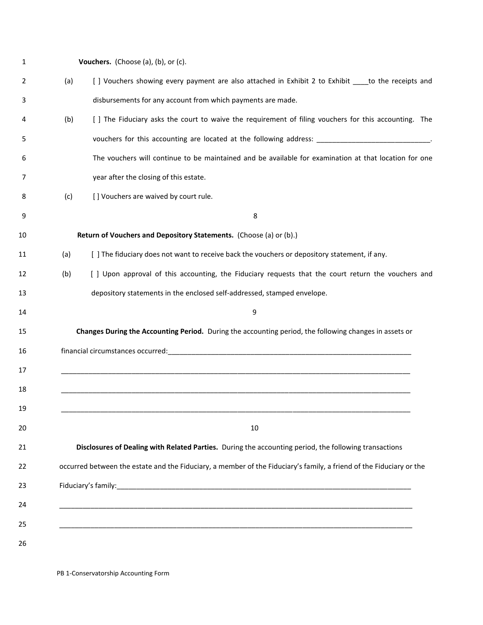| Vouchers. (Choose (a), (b), or (c).                                                                                 |
|---------------------------------------------------------------------------------------------------------------------|
| [ ] Vouchers showing every payment are also attached in Exhibit 2 to Exhibit ____ to the receipts and               |
| disbursements for any account from which payments are made.                                                         |
| [ ] The Fiduciary asks the court to waive the requirement of filing vouchers for this accounting. The               |
| vouchers for this accounting are located at the following address: _________________________________                |
| The vouchers will continue to be maintained and be available for examination at that location for one               |
| year after the closing of this estate.                                                                              |
| [] Vouchers are waived by court rule.                                                                               |
| 8                                                                                                                   |
| Return of Vouchers and Depository Statements. (Choose (a) or (b).)                                                  |
| [ ] The fiduciary does not want to receive back the vouchers or depository statement, if any.                       |
| [ ] Upon approval of this accounting, the Fiduciary requests that the court return the vouchers and                 |
| depository statements in the enclosed self-addressed, stamped envelope.                                             |
| 9                                                                                                                   |
| Changes During the Accounting Period. During the accounting period, the following changes in assets or              |
|                                                                                                                     |
|                                                                                                                     |
|                                                                                                                     |
|                                                                                                                     |
| 10                                                                                                                  |
| Disclosures of Dealing with Related Parties. During the accounting period, the following transactions               |
| occurred between the estate and the Fiduciary, a member of the Fiduciary's family, a friend of the Fiduciary or the |
|                                                                                                                     |
|                                                                                                                     |
|                                                                                                                     |
|                                                                                                                     |
|                                                                                                                     |

PB 1-Conservatorship Accounting Form